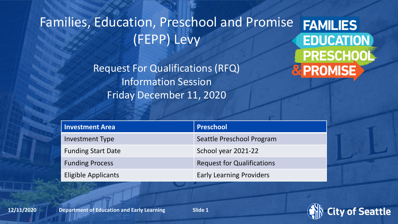### Families, Education, Preschool and Promise **FAMILIES** (FEPP) Levy

Request For Qualifications (RFQ) Information Session Friday December 11, 2020

**EDUCATION** PRESCHOOL **& PROMISE** 

| <b>Investment Area</b>     | Preschool                         |
|----------------------------|-----------------------------------|
| Investment Type            | Seattle Preschool Program         |
| <b>Funding Start Date</b>  | School year 2021-22               |
| <b>Funding Process</b>     | <b>Request for Qualifications</b> |
| <b>Eligible Applicants</b> | <b>Early Learning Providers</b>   |

**12/11/2020 Department of Education and Early Learning <b>Department of Education and Early Learning Department of Education and Early Learning** 

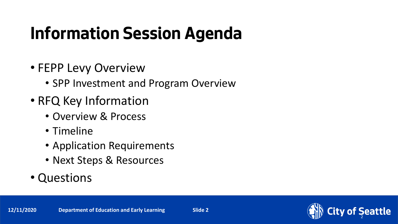# **Information Session Agenda**

- FEPP Levy Overview
	- SPP Investment and Program Overview
- RFQ Key Information
	- Overview & Process
	- Timeline
	- Application Requirements
	- Next Steps & Resources
- Questions

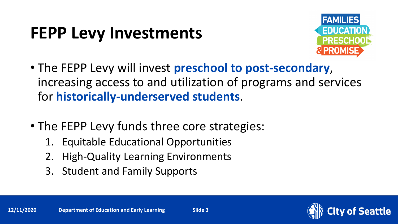## **FEPP Levy Investments**



- The FEPP Levy will invest **preschool to post-secondary**, increasing access to and utilization of programs and services for **historically-underserved students**.
- The FEPP Levy funds three core strategies:
	- 1. Equitable Educational Opportunities
	- 2. High-Quality Learning Environments
	- 3. Student and Family Supports

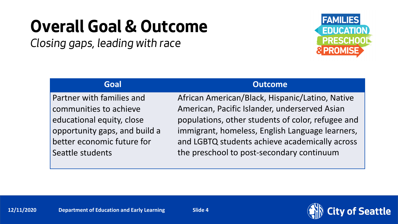## **Overall Goal & Outcome**

*Closing gaps, leading with race*



Partner with families and communities to achieve educational equity, close opportunity gaps, and build a better economic future for Seattle students

### **Goal Outcome**

African American/Black, Hispanic/Latino, Native American, Pacific Islander, underserved Asian populations, other students of color, refugee and immigrant, homeless, English Language learners, and LGBTQ students achieve academically across the preschool to post-secondary continuum

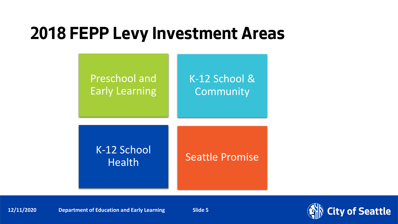## **2018 FEPP Levy Investment Areas**



**12/11/2020** Department of Education and Early Learning Slide 5

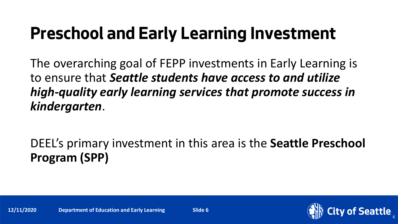## **Preschool and Early Learning Investment**

The overarching goal of FEPP investments in Early Learning is to ensure that *Seattle students have access to and utilize high-quality early learning services that promote success in kindergarten*.

DEEL's primary investment in this area is the **Seattle Preschool Program (SPP)**

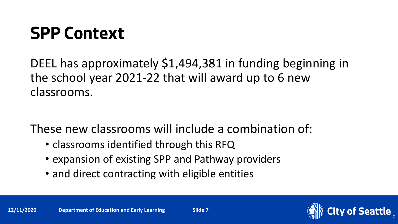## **SPP Context**

DEEL has approximately \$1,494,381 in funding beginning in the school year 2021-22 that will award up to 6 new classrooms.

These new classrooms will include a combination of:

- classrooms identified through this RFQ
- expansion of existing SPP and Pathway providers
- and direct contracting with eligible entities

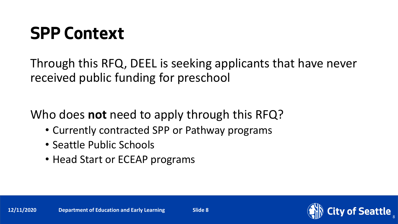## **SPP Context**

Through this RFQ, DEEL is seeking applicants that have never received public funding for preschool

Who does **not** need to apply through this RFQ?

- Currently contracted SPP or Pathway programs
- Seattle Public Schools
- Head Start or ECEAP programs



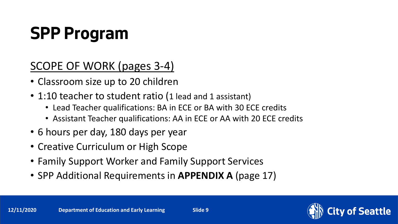# **SPP Program**

SCOPE OF WORK (pages 3-4)

- Classroom size up to 20 children
- 1:10 teacher to student ratio (1 lead and 1 assistant)
	- Lead Teacher qualifications: BA in ECE or BA with 30 ECE credits
	- Assistant Teacher qualifications: AA in ECE or AA with 20 ECE credits
- 6 hours per day, 180 days per year
- Creative Curriculum or High Scope
- Family Support Worker and Family Support Services
- SPP Additional Requirements in **APPENDIX A** (page 17)

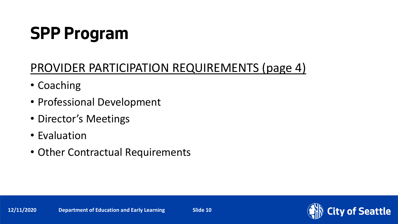# **SPP Program**

### PROVIDER PARTICIPATION REQUIREMENTS (page 4)

- Coaching
- Professional Development
- Director's Meetings
- Evaluation
- Other Contractual Requirements

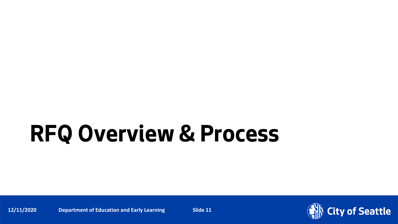**12/11/2020** Department of Education and Early Learning Slide 11

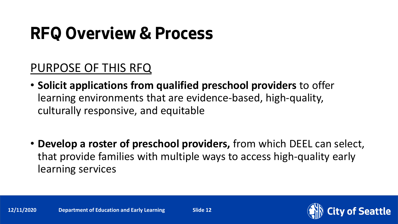### PURPOSE OF THIS RFQ

- **Solicit applications from qualified preschool providers** to offer learning environments that are evidence-based, high-quality, culturally responsive, and equitable
- **Develop a roster of preschool providers,** from which DEEL can select, that provide families with multiple ways to access high-quality early learning services

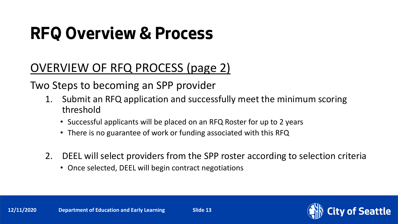### OVERVIEW OF RFQ PROCESS (page 2)

Two Steps to becoming an SPP provider

- 1. Submit an RFQ application and successfully meet the minimum scoring threshold
	- Successful applicants will be placed on an RFQ Roster for up to 2 years
	- There is no guarantee of work or funding associated with this RFQ
- 2. DEEL will select providers from the SPP roster according to selection criteria
	- Once selected, DEEL will begin contract negotiations

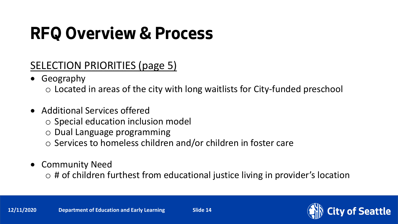### SELECTION PRIORITIES (page 5)

- Geography
	- o Located in areas of the city with long waitlists for City-funded preschool
- Additional Services offered
	- o Special education inclusion model
	- o Dual Language programming
	- o Services to homeless children and/or children in foster care
- Community Need
	- $\circ$  # of children furthest from educational justice living in provider's location

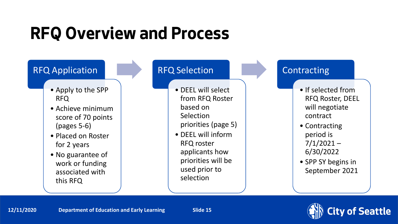

- Apply to the SPP RFQ
- Achieve minimum score of 70 points (pages 5-6)
- Placed on Roster for 2 years
- No guarantee of work or funding associated with this RFQ

### RFQ Selection

- DEEL will select from RFQ Roster based on Selection priorities (page 5)
- DEEL will inform RFQ roster applicants how priorities will be used prior to selection

### **Contracting**

- If selected from RFQ Roster, DEEL will negotiate contract
- Contracting period is  $7/1/2021 -$ 6/30/2022
- SPP SY begins in September 2021



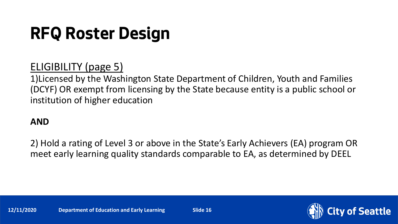## **RFQ Roster Design**

### ELIGIBILITY (page 5)

1)Licensed by the Washington State Department of Children, Youth and Families (DCYF) OR exempt from licensing by the State because entity is a public school or institution of higher education

### **AND**

2) Hold a rating of Level 3 or above in the State's Early Achievers (EA) program OR meet early learning quality standards comparable to EA, as determined by DEEL

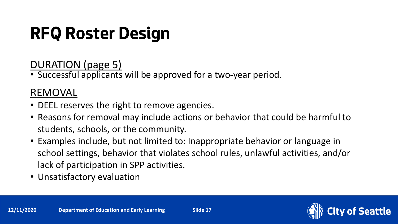# **RFQ Roster Design**

DURATION (page 5)

• Successful applicants will be approved for a two-year period.

### REMOVAL

- DEEL reserves the right to remove agencies.
- Reasons for removal may include actions or behavior that could be harmful to students, schools, or the community.
- Examples include, but not limited to: Inappropriate behavior or language in school settings, behavior that violates school rules, unlawful activities, and/or lack of participation in SPP activities.
- Unsatisfactory evaluation

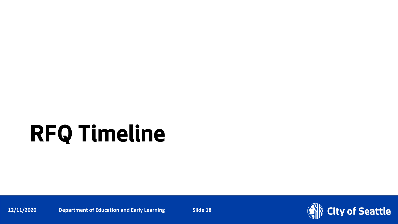# **RFQ Timeline**

**12/11/2020** Department of Education and Early Learning Slide 18

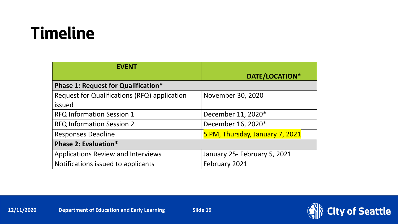## **Timeline**

| <b>EVENT</b>                                 |                                 |  |
|----------------------------------------------|---------------------------------|--|
|                                              | DATE/LOCATION*                  |  |
| <b>Phase 1: Request for Qualification*</b>   |                                 |  |
| Request for Qualifications (RFQ) application | November 30, 2020               |  |
| issued                                       |                                 |  |
| <b>RFQ Information Session 1</b>             | December 11, 2020*              |  |
| <b>RFQ Information Session 2</b>             | December 16, 2020*              |  |
| <b>Responses Deadline</b>                    | 5 PM, Thursday, January 7, 2021 |  |
| Phase 2: Evaluation*                         |                                 |  |
| <b>Applications Review and Interviews</b>    | January 25- February 5, 2021    |  |
| Notifications issued to applicants           | February 2021                   |  |

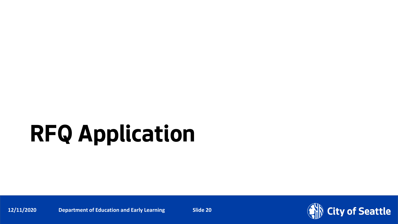# **RFQ Application**

**12/11/2020** Department of Education and Early Learning **Page 12/11/2020** Page Number 20

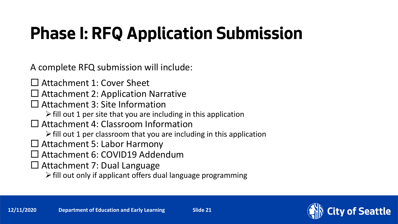# **Phase I: RFQ Application Submission**

A complete RFQ submission will include:

- □ Attachment 1: Cover Sheet
- $\Box$  Attachment 2: Application Narrative
- □ Attachment 3: Site Information
	- $\triangleright$  fill out 1 per site that you are including in this application
- □ Attachment 4: Classroom Information
	- $\triangleright$  fill out 1 per classroom that you are including in this application
- Attachment 5: Labor Harmony
- Attachment 6: COVID19 Addendum
- Attachment 7: Dual Language
	- $\triangleright$  fill out only if applicant offers dual language programming

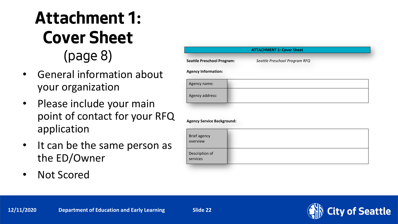## **Attachment 1: Cover Sheet** (page 8)

- General information about your organization
- Please include your main point of contact for your RFQ application
- It can be the same person as the ED/Owner
- Not Scored

|                                                                 |                               | <b>ATTACHMENT 1: Cover Sheet</b> |  |  |
|-----------------------------------------------------------------|-------------------------------|----------------------------------|--|--|
| <b>Seattle Preschool Program:</b><br><b>Agency Information:</b> | Seattle Preschool Program RFQ |                                  |  |  |
| Agency name:                                                    |                               |                                  |  |  |
| Agency address:                                                 |                               |                                  |  |  |
|                                                                 |                               |                                  |  |  |
| <b>Agency Service Background:</b>                               |                               |                                  |  |  |

Brief agency overview Description of services

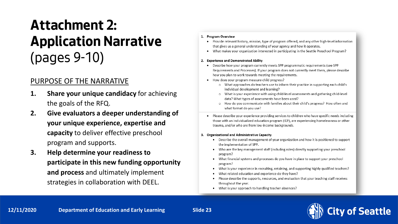## **Attachment 2: Application Narrative**  (pages 9-10)

### PURPOSE OF THE NARRATIVE

- **1. Share your unique candidacy** for achieving the goals of the RFQ.
- **2. Give evaluators a deeper understanding of your unique experience, expertise and capacity** to deliver effective preschool program and supports.
- **3. Help determine your readiness to participate in this new funding opportunity and process** and ultimately implement strategies in collaboration with DEEL.

#### 1. Program Overview

- Provide relevant history, mission, type of program offered, and any other high-level information that gives us a general understanding of your agency and how it operates.
- What makes your organization interested in participating in the Seattle Preschool Program?

#### 2. Experience and Demonstrated Ability

- Describe how your program currently meets SPP programmatic requirements (see SPP) Requirements and Processes). If your program does not currently meet them, please describe how you plan to work towards meeting the requirements.
- How does your program measure child progress?
	- o What approaches do teachers use to inform their practice in supporting each child's individual development and learning?
	- o What is your experience with using child-level assessments and gathering child-level data? What types of assessments have been used?
	- o How do you communicate with families about their child's progress? How often and what format do you use?
- Please describe your experience providing services to children who have specific needs including those with an individualized education program (IEP), are experiencing homelessness or other trauma, and/or who are from low-income backgrounds.

#### 3. Organizational and Administrative Capacity

- Describe the overall management of your organization and how it is positioned to support the implementation of SPP.
- Who are the key management staff (including roles) directly supporting your preschool program?
- What financial systems and processes do you have in place to support your preschool program?
- What is your experience in recruiting, retaining, and supporting highly qualified teachers?
- What related education and experience do they have?
- Please describe the supports, resources, and evaluation that your teaching staff receives throughout the year.
- What is your approach to handling teacher absences?

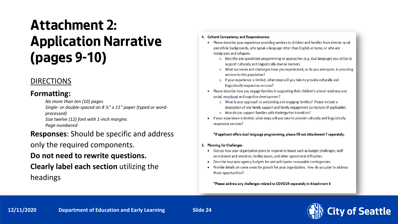## **Attachment 2: Application Narrative (pages 9-10)**

### DIRECTIONS

#### **Formatting:**

*No more than ten (10) pages*

*Single- or double-spaced on 8 ½" x 11" paper (typed or wordprocessed)*

*Size twelve (12) font with 1-inch margins Page-numbered*

#### **Responses**: Should be specific and address

only the required components.

### **Do not need to rewrite questions.**

### **Clearly label each section** utilizing the headings

#### 4. Cultural Competency and Responsiveness

- Please describe your experience providing services to children and families from diverse racial and ethnic backgrounds, who speak a language other than English at home, or who are immigrants and refugees.
	- o Describe any specialized programming or approaches (e.g. dual language) you utilize to support culturally and linguistically diverse learners.
	- o What successes and challenges have you experienced, or do you anticipate, in providing services to this population?
	- o If your experience is limited, what steps will you take to provide culturally and linguistically responsive services?
- Please describe how you engage families in supporting their children's school readiness and social, emotional and cognitive development?
	- o What is your approach to welcoming and engaging families? Please include a description of any family support and family engagement curriculum (if applicable). o How do you support families with Kindergarten transition?
- If your experience is limited, what steps will you take to provide culturally and linguistically responsive services?

#### \*If applicant offers dual-language programming, please fill out Attachment 7 separately.

- 5. Planning for Challenges
	- Discuss how your organization plans to respond to issues such as budget challenges, staff recruitment and retention, facility issues, and other operational difficulties.
	- Describe how your agency budgets for and anticipates reasonable contingencies.
	- Provide details on some areas for growth for your organization. How do you plan to address these opportunities?

\*Please address any challenges related to COVID19 separately in Attachment 6

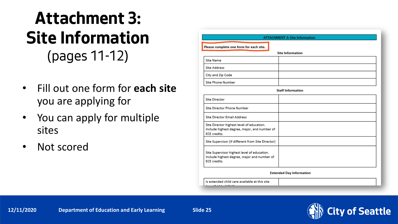## **Attachment 3: Site Information** (pages 11-12)

- Fill out one form for **each site** you are applying for
- You can apply for multiple sites
- Not scored

| <b>ATTACHMENT 3: Site Information</b>   |  |  |
|-----------------------------------------|--|--|
| Please complete one form for each site. |  |  |
| <b>Site Information</b>                 |  |  |
| Site Name                               |  |  |
| Site Address                            |  |  |
| City and Zip Code                       |  |  |
| Site Phone Number                       |  |  |

**Staff Information** 

| Site Director                                                                                              |  |
|------------------------------------------------------------------------------------------------------------|--|
| Site Director Phone Number                                                                                 |  |
| <b>Site Director Email Address</b>                                                                         |  |
| Site Director highest level of education.<br>Include highest degree, major, and number of<br>ECE credits.  |  |
| Site Supervisor (if different from Site Director)                                                          |  |
| Site Supervisor highest level of education.<br>Include highest degree, major and number of<br>ECE credits. |  |

**Extended Day Information** 

Is extended child care available at this site  $7.333 - 7.533$ 

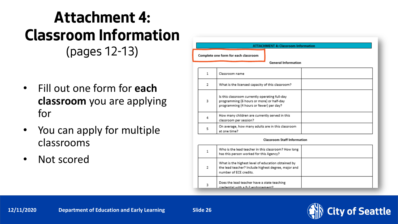### **Attachment 4: Classroom Information** (pages 12-13)

- Fill out one form for **each classroom** you are applying for
- You can apply for multiple classrooms
- Not scored

|                                      | <b>ATTACHMENT 4: Classroom Information</b> |                                                                                                                                        |  |
|--------------------------------------|--------------------------------------------|----------------------------------------------------------------------------------------------------------------------------------------|--|
| Complete one form for each classroom |                                            |                                                                                                                                        |  |
|                                      |                                            | <b>General Information</b>                                                                                                             |  |
|                                      | 1                                          | Classroom name                                                                                                                         |  |
|                                      | 2                                          | What is the licensed capacity of this classroom?                                                                                       |  |
|                                      | 3                                          | Is this classroom currently operating full-day<br>programming (6 hours or more) or half-day<br>programming (4 hours or fewer) per day? |  |
|                                      | 4                                          | How many children are currently served in this<br>classroom per session?                                                               |  |
|                                      | 5                                          | On average, how many adults are in this classroom<br>at one time?                                                                      |  |

| Who is the lead teacher in this classroom? How long<br>has this person worked for this Agency?                                      |  |
|-------------------------------------------------------------------------------------------------------------------------------------|--|
| What is the highest level of education obtained by<br>the lead teacher? Include highest degree, major and<br>number of ECE credits. |  |
| Does the lead teacher have a state teaching<br>Ctagaaaaaaa 5-9 s dtiw leitaaba                                                      |  |

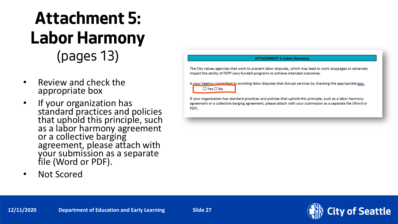## **Attachment 5: Labor Harmony** (pages 13)

- Review and check the appropriate box
- If your organization has standard practices and policies that uphold this principle, such as a labor harmony agreement or a collective barging agreement, please attach with your submission as a separate file (Word or PDF).
- Not Scored

#### **ATTACHMENT 5: Labor Harmony**

The City values agencies that work to prevent labor disputes, which may lead to work stoppages or adversely impact the ability of FEPP Levy-funded programs to achieve intended outcomes.

Is your Agency committed to avoiding labor disputes that disrupt services by checking the appropriate box.  $\Box$  Yes  $\Box$  No

If your organization has standard practices and policies that uphold this principle, such as a labor harmony agreement or a collective barging agreement, please attach with your submission as a separate file (Word or PDF).

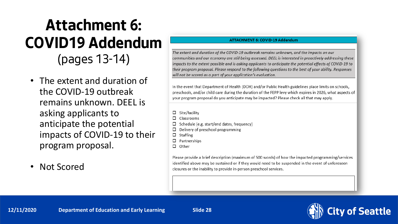## **Attachment 6: COVID19 Addendum** (pages 13-14)

- The extent and duration of the COVID-19 outbreak remains unknown. DEEL is asking applicants to anticipate the potential impacts of COVID-19 to their program proposal.
- Not Scored

#### **ATTACHMENT 6: COVID-19 Addendum**

The extent and duration of the COVID-19 outbreak remains unknown, and the impacts on our communities and our economy are still being assessed. DEEL is interested in proactively addressing these impacts to the extent possible and is asking applicants to anticipate the potential effects of COVID-19 to their program proposal. Please respond to the following questions to the best of your ability. Responses will not be scored as a part of your application's evaluation.

In the event that Department of Health (DOH) and/or Public Health guidelines place limits on schools, preschools, and/or child care during the duration of the FEPP levy which expires in 2026, what aspects of your program proposal do you anticipate may be impacted? Please check all that may apply.

- $\Box$  Site/facility
- □ Classrooms
- Schedule (e.g. start/end dates, frequency)
- Delivery of preschool programming □
- $\Box$  Staffing
- $\Box$  Partnerships
- $\Box$  Other

Please provide a brief description (maximum of 500 words) of how the impacted programming/services identified above may be sustained or if they would need to be suspended in the event of unforeseen closures or the inability to provide in-person preschool services.

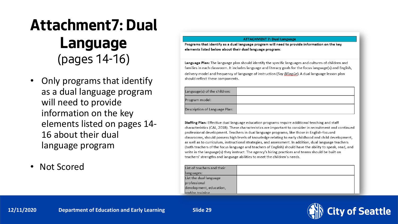## **Attachment7: Dual Language** (pages 14-16)

- Only programs that identify as a dual language program will need to provide information on the key elements listed on pages 14- 16 about their dual language program
- Not Scored

#### **ATTACHMENT 7: Dual Language**

Programs that identify as a dual language program will need to provide information on the key elements listed below about their dual language program:

Language Plan: The language plan should identify the specific languages and cultures of children and families in each classroom. It includes language and literacy goals for the focus language(s) and English, delivery model and frequency of language of instruction (Soy Bilingüe). A dual language lesson plan should reflect these components.

| .anguage(s) of the children:  |  |
|-------------------------------|--|
| rogram model:                 |  |
| )escription of Language Plan: |  |

Staffing Plan: Effective dual language education programs require additional teaching and staff characteristics (CAL, 2018). These characteristics are important to consider in recruitment and continued professional development. Teachers in dual language programs, like those in English-focused classrooms, should possess high levels of knowledge relating to early childhood and child development, as well as to curriculum, instructional strategies, and assessment. In addition, dual language teachers (both teachers of the focus language and teachers of English) should have the ability to speak, read, and write in the language(s) they instruct. The agency's hiring practices and teams should be built on teachers' strengths and language abilities to meet the children's needs.

| List of teachers and their |  |
|----------------------------|--|
| languages:                 |  |
| List the dual language     |  |
| professional               |  |
| development, education,    |  |
| $\lambda$ and/or training  |  |



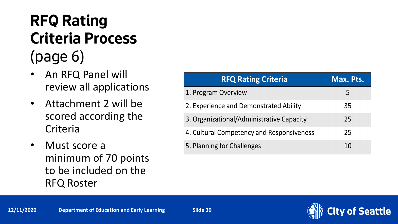## **RFQ Rating Criteria Process**  (page 6)

- An RFQ Panel will review all applications
- Attachment 2 will be scored according the **Criteria**
- Must score a minimum of 70 points to be included on the RFQ Roster

| <b>RFQ Rating Criteria</b>                | Max. Pts. |
|-------------------------------------------|-----------|
| 1. Program Overview                       | 5         |
| 2. Experience and Demonstrated Ability    | 35        |
| 3. Organizational/Administrative Capacity | 25        |
| 4. Cultural Competency and Responsiveness | 25        |
| 5. Planning for Challenges                | 10        |

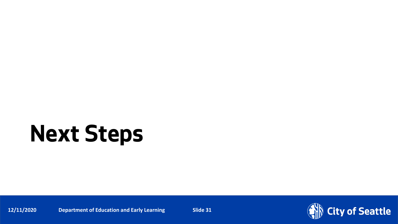# **Next Steps**

**12/11/2020** Department of Education and Early Learning Slide 31

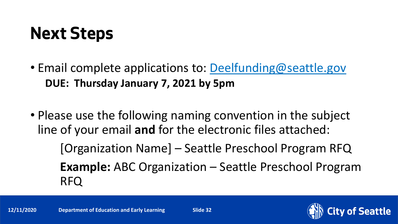## **Next Steps**

- Email complete applications to: [Deelfunding@seattle.gov](mailto:Deelfunding@seattle.gov) **DUE: Thursday January 7, 2021 by 5pm**
- Please use the following naming convention in the subject line of your email **and** for the electronic files attached: [Organization Name] – Seattle Preschool Program RFQ **Example:** ABC Organization – Seattle Preschool Program RFQ

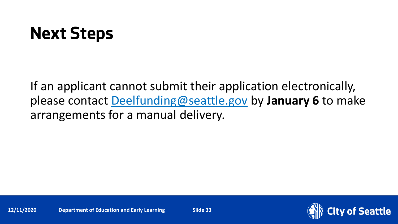## **Next Steps**

If an applicant cannot submit their application electronically, please contact [Deelfunding@seattle.gov](mailto:Education@seattle.gov) by **January 6** to make arrangements for a manual delivery.

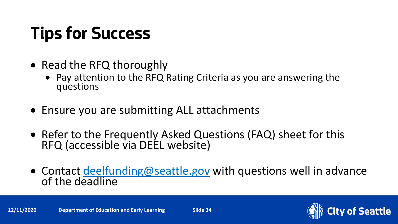# **Tips for Success**

- Read the RFQ thoroughly
	- Pay attention to the RFQ Rating Criteria as you are answering the questions
- Ensure you are submitting ALL attachments
- Refer to the Frequently Asked Questions (FAQ) sheet for this RFQ (accessible via DEEL website)
- Contact [deelfunding@seattle.gov](mailto:education@seattle.gov) with questions well in advance<br>of the deadline

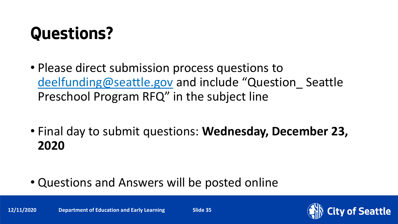## **Questions?**

- Please direct submission process questions to [deelfunding@seattle.gov](mailto:deelfunding@seattle.gov) and include "Question\_ Seattle Preschool Program RFQ" in the subject line
- Final day to submit questions: **Wednesday, December 23, 2020**
- Questions and Answers will be posted online